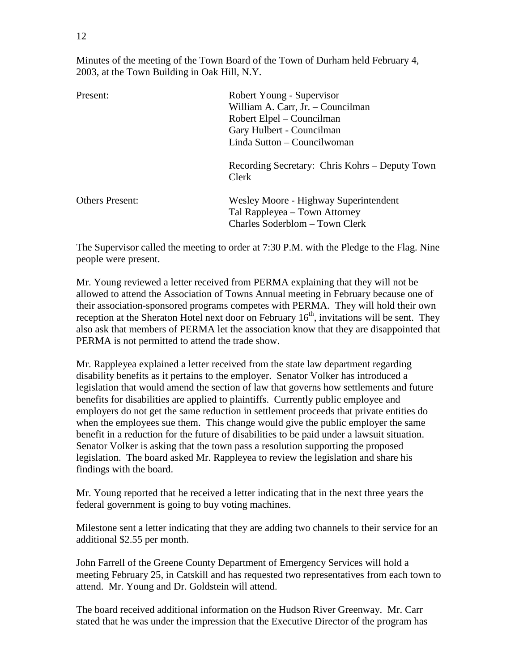Minutes of the meeting of the Town Board of the Town of Durham held February 4, 2003, at the Town Building in Oak Hill, N.Y.

| Present:               | Robert Young - Supervisor<br>William A. Carr, Jr. - Councilman<br>Robert Elpel – Councilman<br>Gary Hulbert - Councilman<br>Linda Sutton - Councilwoman |
|------------------------|---------------------------------------------------------------------------------------------------------------------------------------------------------|
|                        | Recording Secretary: Chris Kohrs – Deputy Town<br>Clerk                                                                                                 |
| <b>Others Present:</b> | Wesley Moore - Highway Superintendent<br>Tal Rappleyea – Town Attorney<br>Charles Soderblom – Town Clerk                                                |

The Supervisor called the meeting to order at 7:30 P.M. with the Pledge to the Flag. Nine people were present.

Mr. Young reviewed a letter received from PERMA explaining that they will not be allowed to attend the Association of Towns Annual meeting in February because one of their association-sponsored programs competes with PERMA. They will hold their own reception at the Sheraton Hotel next door on February  $16<sup>th</sup>$ , invitations will be sent. They also ask that members of PERMA let the association know that they are disappointed that PERMA is not permitted to attend the trade show.

Mr. Rappleyea explained a letter received from the state law department regarding disability benefits as it pertains to the employer. Senator Volker has introduced a legislation that would amend the section of law that governs how settlements and future benefits for disabilities are applied to plaintiffs. Currently public employee and employers do not get the same reduction in settlement proceeds that private entities do when the employees sue them. This change would give the public employer the same benefit in a reduction for the future of disabilities to be paid under a lawsuit situation. Senator Volker is asking that the town pass a resolution supporting the proposed legislation. The board asked Mr. Rappleyea to review the legislation and share his findings with the board.

Mr. Young reported that he received a letter indicating that in the next three years the federal government is going to buy voting machines.

Milestone sent a letter indicating that they are adding two channels to their service for an additional \$2.55 per month.

John Farrell of the Greene County Department of Emergency Services will hold a meeting February 25, in Catskill and has requested two representatives from each town to attend. Mr. Young and Dr. Goldstein will attend.

The board received additional information on the Hudson River Greenway. Mr. Carr stated that he was under the impression that the Executive Director of the program has